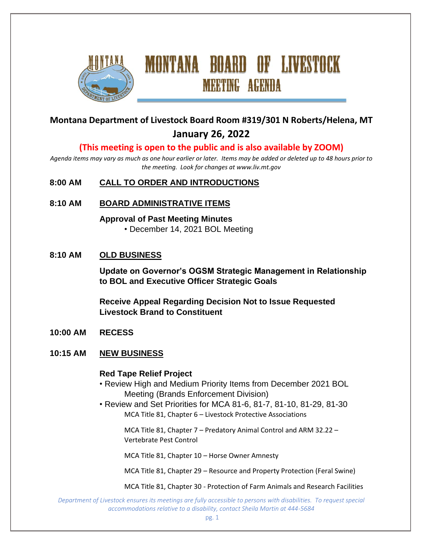

# **Montana Department of Livestock Board Room #319/301 N Roberts/Helena, MT January 26, 2022**

MONTANA BOARD OF LIVESTOCK

**MEETING AGENDA** 

## **(This meeting is open to the public and is also available by ZOOM)**

*Agenda items may vary as much as one hour earlier or later. Items may be added or deleted up to 48 hours prior to the meeting. Look for changes at www.liv.mt.gov*

#### **8:00 AM CALL TO ORDER AND INTRODUCTIONS**

**8:10 AM BOARD ADMINISTRATIVE ITEMS**

**Approval of Past Meeting Minutes** • December 14, 2021 BOL Meeting

#### **8:10 AM OLD BUSINESS**

**Update on Governor's OGSM Strategic Management in Relationship to BOL and Executive Officer Strategic Goals**

**Receive Appeal Regarding Decision Not to Issue Requested Livestock Brand to Constituent**

**10:00 AM RECESS**

#### **10:15 AM NEW BUSINESS**

#### **Red Tape Relief Project**

- Review High and Medium Priority Items from December 2021 BOL Meeting (Brands Enforcement Division)
- Review and Set Priorities for MCA 81-6, 81-7, 81-10, 81-29, 81-30 MCA Title 81, Chapter 6 – Livestock Protective Associations

MCA Title 81, Chapter 7 – Predatory Animal Control and ARM 32.22 – Vertebrate Pest Control

MCA Title 81, Chapter 10 – Horse Owner Amnesty

MCA Title 81, Chapter 29 – Resource and Property Protection (Feral Swine)

MCA Title 81, Chapter 30 - Protection of Farm Animals and Research Facilities

*Department of Livestock ensures its meetings are fully accessible to persons with disabilities. To request special accommodations relative to a disability, contact Sheila Martin at 444-5684*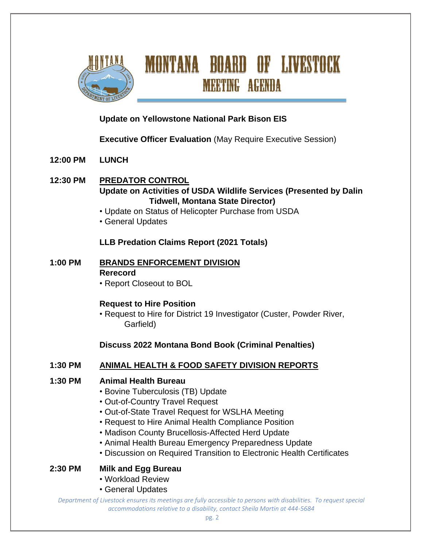

# MONTANA BOARD OF LIVESTOCK **MEETING AGENDA**

# **Update on Yellowstone National Park Bison EIS**

# **Executive Officer Evaluation** (May Require Executive Session)

- **12:00 PM LUNCH**
- **12:30 PM PREDATOR CONTROL Update on Activities of USDA Wildlife Services (Presented by Dalin Tidwell, Montana State Director)**
	- Update on Status of Helicopter Purchase from USDA
	- General Updates

#### **LLB Predation Claims Report (2021 Totals)**

- **1:00 PM BRANDS ENFORCEMENT DIVISION Rerecord**
	- Report Closeout to BOL

## **Request to Hire Position**

• Request to Hire for District 19 Investigator (Custer, Powder River, Garfield)

## **Discuss 2022 Montana Bond Book (Criminal Penalties)**

## **1:30 PM ANIMAL HEALTH & FOOD SAFETY DIVISION REPORTS**

#### **1:30 PM Animal Health Bureau**

- Bovine Tuberculosis (TB) Update
- Out-of-Country Travel Request
- Out-of-State Travel Request for WSLHA Meeting
- Request to Hire Animal Health Compliance Position
- Madison County Brucellosis-Affected Herd Update
- Animal Health Bureau Emergency Preparedness Update
- Discussion on Required Transition to Electronic Health Certificates

## **2:30 PM Milk and Egg Bureau**

- Workload Review
- General Updates

*Department of Livestock ensures its meetings are fully accessible to persons with disabilities. To request special accommodations relative to a disability, contact Sheila Martin at 444-5684*